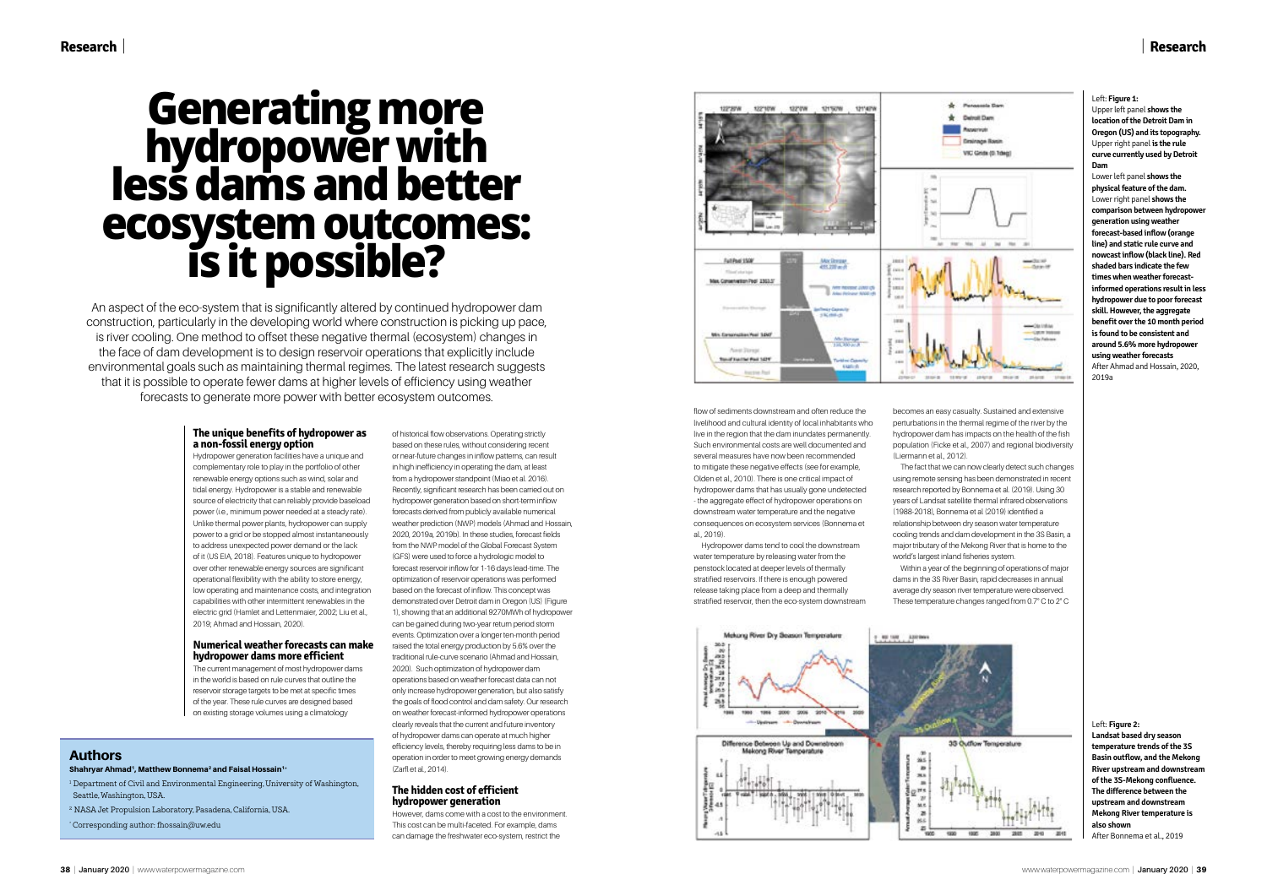# | **Research**

## **The unique benefits of hydropower as a non-fossil energy option**

Hydropower generation facilities have a unique and complementary role to play in the portfolio of other renewable energy options such as wind, solar and tidal energy. Hydropower is a stable and renewable source of electricity that can reliably provide baseload power (i.e., minimum power needed at a steady rate). Unlike thermal power plants, hydropower can supply power to a grid or be stopped almost instantaneously to address unexpected power demand or the lack of it (US EIA, 2018). Features unique to hydropower over other renewable energy sources are significant operational flexibility with the ability to store energy, low operating and maintenance costs, and integration capabilities with other intermittent renewables in the electric grid (Hamlet and Lettenmaier, 2002; Liu et al., 2019; Ahmad and Hossain, 2020).

## **Numerical weather forecasts can make hydropower dams more efficient**

The current management of most hydropower dams in the world is based on rule curves that outline the reservoir storage targets to be met at specific times of the year. These rule curves are designed based on existing storage volumes using a climatology

of historical flow observations. Operating strictly based on these rules, without considering recent or near-future changes in inflow patterns, can result in high inefficiency in operating the dam, at least from a hydropower standpoint (Miao et al. 2016). Recently, significant research has been carried out on hydropower generation based on short-term inflow forecasts derived from publicly available numerical weather prediction (NWP) models (Ahmad and Hossain, 2020, 2019a, 2019b). In these studies, forecast fields from the NWP model of the Global Forecast System (GFS) were used to force a hydrologic model to forecast reservoir inflow for 1-16 days lead-time. The optimization of reservoir operations was performed based on the forecast of inflow. This concept was demonstrated over Detroit dam in Oregon (US) (Figure 1), showing that an additional 9270MWh of hydropower can be gained during two-year return period storm events. Optimization over a longer ten-month period raised the total energy production by 5.6% over the traditional rule-curve scenario (Ahmad and Hossain, 2020). Such optimization of hydropower dam operations based on weather forecast data can not only increase hydropower generation, but also satisfy the goals of flood control and dam safety. Our research on weather forecast-informed hydropower operations clearly reveals that the current and future inventory of hydropower dams can operate at much higher efficiency levels, thereby requiring less dams to be in operation in order to meet growing energy demands (Zarfl et al., 2014).

relationship between dry season water temperature world's largest inland fisheries system.

- <sup>1</sup> Department of Civil and Environmental Engineering, University of Washington, Seattle, Washington, USA.
- <sup>2</sup> NASA Jet Propulsion Laboratory, Pasadena, California, USA.

## **The hidden cost of efficient hydropower generation**

However, dams come with a cost to the environment. This cost can be multi-faceted. For example, dams can damage the freshwater eco-system, restrict the



flow of sediments downstream and often reduce the livelihood and cultural identity of local inhabitants who live in the region that the dam inundates permanently. Such environmental costs are well documented and several measures have now been recommended to mitigate these negative effects (see for example, Olden et al., 2010). There is one critical impact of hydropower dams that has usually gone undetected - the aggregate effect of hydropower operations on downstream water temperature and the negative consequences on ecosystem services (Bonnema et al., 2019).

Hydropower dams tend to cool the downstream water temperature by releasing water from the penstock located at deeper levels of thermally stratified reservoirs. If there is enough powered release taking place from a deep and thermally stratified reservoir, then the eco-system downstream becomes an easy casualty. Sustained and extensive perturbations in the thermal regime of the river by the hydropower dam has impacts on the health of the fish population (Ficke et al., 2007) and regional biodiversity (Liermann et al., 2012).

The fact that we can now clearly detect such changes using remote sensing has been demonstrated in recent research reported by Bonnema et al. (2019). Using 30 years of Landsat satellite thermal infrared observations (1988-2018), Bonnema et al (2019) identified a

cooling trends and dam development in the 3S Basin, a major tributary of the Mekong River that is home to the

Within a year of the beginning of operations of major dams in the 3S River Basin, rapid decreases in annual average dry season river temperature were observed. These temperature changes ranged from 0.7° C to 2° C



# **Generating more hydropower with less dams and better ecosystem outcomes: is it possible?**

An aspect of the eco-system that is significantly altered by continued hydropower dam construction, particularly in the developing world where construction is picking up pace, is river cooling. One method to offset these negative thermal (ecosystem) changes in the face of dam development is to design reservoir operations that explicitly include environmental goals such as maintaining thermal regimes. The latest research suggests that it is possible to operate fewer dams at higher levels of efficiency using weather forecasts to generate more power with better ecosystem outcomes.

## Authors

## Shahryar Ahmad<sup>1</sup>, Matthew Bonnema<sup>2</sup> and Faisal Hossain<sup>1\*</sup>

\* Corresponding author: fhossain@uw.edu

### Left: **Figure 1:**

Upper left panel **shows the location of the Detroit Dam in Oregon (US) and its topography.** Upper right panel **is the rule curve currently used by Detroit Dam**

Lower left panel **shows the physical feature of the dam.** Lower right panel **shows the comparison between hydropower generation using weather forecast-based inflow (orange line) and static rule curve and nowcast inflow (black line). Red shaded bars indicate the few times when weather forecastinformed operations result in less hydropower due to poor forecast skill. However, the aggregate benefit over the 10 month period is found to be consistent and around 5.6% more hydropower using weather forecasts**

After Ahmad and Hossain, 2020, 2019a

#### Left: **Figure 2:**

**Landsat based dry season temperature trends of the 3S Basin outflow, and the Mekong River upstream and downstream of the 3S-Mekong confluence. The difference between the upstream and downstream Mekong River temperature is also shown** After Bonnema et al., 2019